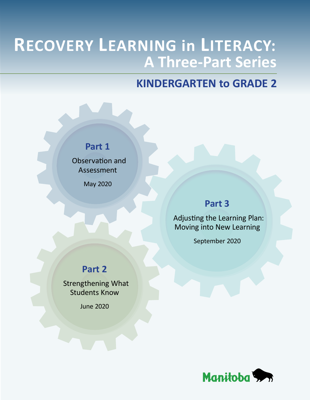# **RECOVERY LEARNING in LITERACY: A Three-Part Series**

## **KINDERGARTEN to GRADE 2**



Observation and Assessment

May 2020

## **Part 3**

Adjusting the Learning Plan: Moving into New Learning

September 2020

## **Part 2**

Strengthening What Students Know

June 2020

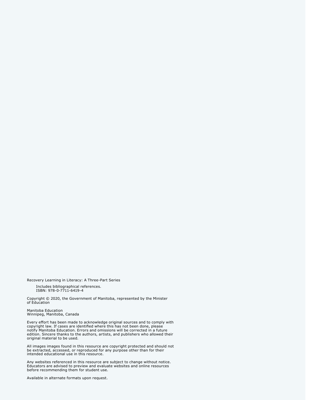Recovery Learning in Literacy: A Three-Part Series

Includes bibliographical references. ISBN: 978-0-7711-6419-4

Copyright © 2020, the Government of Manitoba, represented by the Minister of Education

Manitoba Education Winnipeg, Manitoba, Canada

Every effort has been made to acknowledge original sources and to comply with copyright law. If cases are identified where this has not been done, please notify Manitoba Education. Errors and omissions will be corrected in a future edition. Sincere thanks to the authors, artists, and publishers who allowed their original material to be used.

All images images found in this resource are copyright protected and should not be extracted, accessed, or reproduced for any purpose other than for their intended educational use in this resource.

Any websites referenced in this resource are subject to change without notice. Educators are advised to preview and evaluate websites and online resources before recommending them for student use.

Available in alternate formats upon request.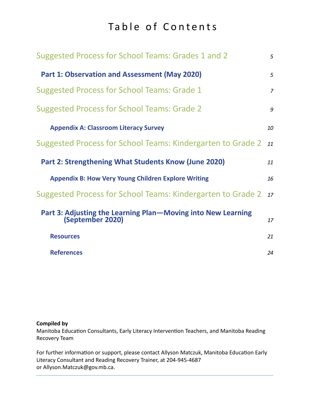# Table of Contents

| Suggested Process for School Teams: Grades 1 and 2                               | 5              |  |  |
|----------------------------------------------------------------------------------|----------------|--|--|
| Part 1: Observation and Assessment (May 2020)                                    |                |  |  |
| Suggested Process for School Teams: Grade 1                                      | $\overline{7}$ |  |  |
| Suggested Process for School Teams: Grade 2                                      | 9              |  |  |
| <b>Appendix A: Classroom Literacy Survey</b>                                     | 10             |  |  |
| Suggested Process for School Teams: Kindergarten to Grade 2                      | 11             |  |  |
|                                                                                  |                |  |  |
| Part 2: Strengthening What Students Know (June 2020)                             | 11             |  |  |
| <b>Appendix B: How Very Young Children Explore Writing</b>                       | 16             |  |  |
| Suggested Process for School Teams: Kindergarten to Grade 2                      | 17             |  |  |
| Part 3: Adjusting the Learning Plan-Moving into New Learning<br>(September 2020) | 17             |  |  |
| <b>Resources</b>                                                                 | 21             |  |  |

#### **Compiled by**

Manitoba Education Consultants, Early Literacy Intervention Teachers, and Manitoba Reading Recovery Team

For further information or support, please contact Allyson Matczuk, Manitoba Education Early Literacy Consultant and Reading Recovery Trainer, at 204-945-4687 or [Allyson.Matczuk@gov.mb.ca](mailto:Allyson.Matczuk%40gov.mb.ca?subject=).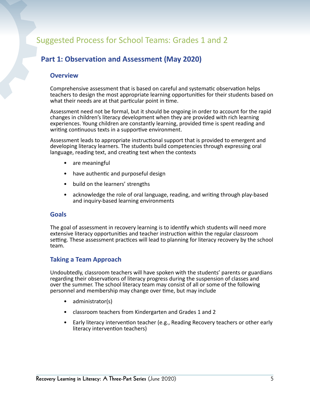## <span id="page-4-0"></span>Suggested Process for School Teams: Grades 1 and 2

## **Part 1: Observation and Assessment (May 2020)**

#### **Overview**

Comprehensive assessment that is based on careful and systematic observation helps teachers to design the most appropriate learning opportunities for their students based on what their needs are at that particular point in time.

Assessment need not be formal, but it should be ongoing in order to account for the rapid changes in children's literacy development when they are provided with rich learning experiences. Young children are constantly learning, provided time is spent reading and writing continuous texts in a supportive environment.

Assessment leads to appropriate instructional support that is provided to emergent and developing literacy learners. The students build competencies through expressing oral language, reading text, and creating text when the contexts

- are meaningful
- have authentic and purposeful design
- build on the learners' strengths
- acknowledge the role of oral language, reading, and writing through play-based and inquiry-based learning environments

#### **Goals**

The goal of assessment in recovery learning is to identify which students will need more extensive literacy opportunities and teacher instruction within the regular classroom setting. These assessment practices will lead to planning for literacy recovery by the school team.

#### **Taking a Team Approach**

Undoubtedly, classroom teachers will have spoken with the students' parents or guardians regarding their observations of literacy progress during the suspension of classes and over the summer. The school literacy team may consist of all or some of the following personnel and membership may change over time, but may include

- administrator(s)
- classroom teachers from Kindergarten and Grades 1 and 2
- Early literacy intervention teacher (e.g., Reading Recovery teachers or other early literacy intervention teachers)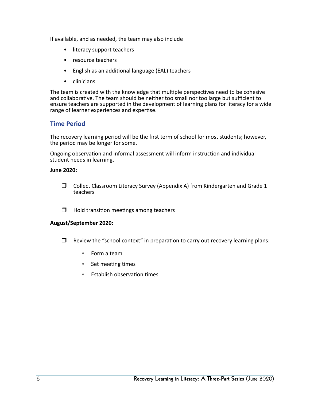If available, and as needed, the team may also include

- literacy support teachers
- resource teachers
- English as an additional language (EAL) teachers
- clinicians

The team is created with the knowledge that multiple perspectives need to be cohesive and collaborative. The team should be neither too small nor too large but sufficient to ensure teachers are supported in the development of learning plans for literacy for a wide range of learner experiences and expertise.

#### **Time Period**

The recovery learning period will be the first term of school for most students; however, the period may be longer for some.

Ongoing observation and informal assessment will inform instruction and individual student needs in learning.

#### **June 2020:**

- $\Box$  Collect Classroom Literacy Survey (Appendix A) from Kindergarten and Grade 1 teachers
- $\Box$  Hold transition meetings among teachers

#### **August/September 2020:**

- $\Box$  Review the "school context" in preparation to carry out recovery learning plans:
	- Form a team
	- Set meeting times
	- Establish observation times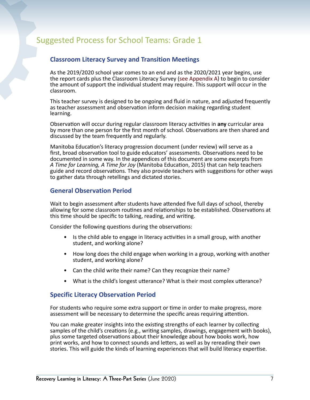## <span id="page-6-0"></span>Suggested Process for School Teams: Grade 1

#### **Classroom Literacy Survey and Transition Meetings**

As the 2019/2020 school year comes to an end and as the 2020/2021 year begins, use the report cards plus the Classroom Literacy Survey ([see Appendix A\)](#page-9-0) to begin to consider the amount of support the individual student may require. This support will occur in the classroom.

This teacher survey is designed to be ongoing and fluid in nature, and adjusted frequently as teacher assessment and observation inform decision making regarding student learning.

Observation will occur during regular classroom literacy activities in **any** curricular area by more than one person for the first month of school. Observations are then shared and discussed by the team frequently and regularly.

Manitoba Education's literacy progression document (under review) will serve as a first, broad observation tool to guide educators' assessments. Observations need to be documented in some way. In the appendices of this document are some excerpts from *A Time for Learning, A Time for Joy* (Manitoba Education, 2015) that can help teachers guide and record observations. They also provide teachers with suggestions for other ways to gather data through retellings and dictated stories.

#### **General Observation Period**

Wait to begin assessment after students have attended five full days of school, thereby allowing for some classroom routines and relationships to be established. Observations at this time should be specific to talking, reading, and writing.

Consider the following questions during the observations:

- Is the child able to engage in literacy activities in a small group, with another student, and working alone?
- How long does the child engage when working in a group, working with another student, and working alone?
- Can the child write their name? Can they recognize their name?
- What is the child's longest utterance? What is their most complex utterance?

#### **Specific Literacy Observation Period**

For students who require some extra support or time in order to make progress, more assessment will be necessary to determine the specific areas requiring attention.

You can make greater insights into the existing strengths of each learner by collecting samples of the child's creations (e.g., writing samples, drawings, engagement with books), plus some targeted observations about their knowledge about how books work, how print works, and how to connect sounds and letters, as well as by rereading their own stories. This will guide the kinds of learning experiences that will build literacy expertise.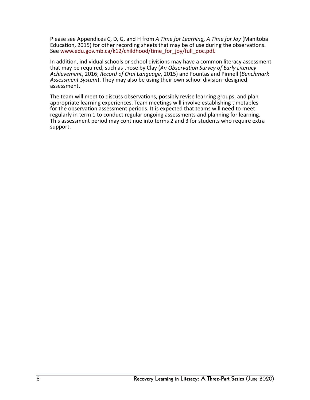Please see Appendices C, D, G, and H from *A Time for Learning, A Time for Joy* (Manitoba Education, 2015) for other recording sheets that may be of use during the observations. See [www.edu.gov.mb.ca/k12/childhood/time\\_for\\_joy/full\\_doc.pdf.](http://www.edu.gov.mb.ca/k12/childhood/time_for_joy/full_doc.pdf)

In addition, individual schools or school divisions may have a common literacy assessment that may be required, such as those by Clay (*An Observation Survey of Early Literacy Achievement*, 2016; *Record of Oral Language*, 2015) and Fountas and Pinnell (*Benchmark Assessment System*). They may also be using their own school division–designed assessment.

The team will meet to discuss observations, possibly revise learning groups, and plan appropriate learning experiences. Team meetings will involve establishing timetables for the observation assessment periods. It is expected that teams will need to meet regularly in term 1 to conduct regular ongoing assessments and planning for learning. This assessment period may continue into terms 2 and 3 for students who require extra support.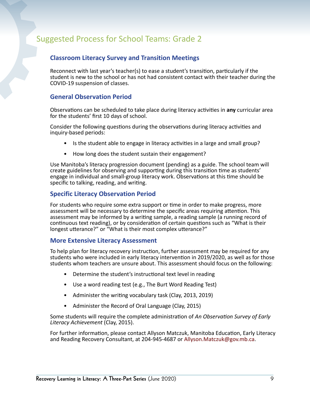## <span id="page-8-0"></span>Suggested Process for School Teams: Grade 2

#### **Classroom Literacy Survey and Transition Meetings**

Reconnect with last year's teacher(s) to ease a student's transition, particularly if the student is new to the school or has not had consistent contact with their teacher during the COVID-19 suspension of classes.

#### **General Observation Period**

Observations can be scheduled to take place during literacy activities in **any** curricular area for the students' first 10 days of school.

Consider the following questions during the observations during literacy activities and inquiry-based periods:

- Is the student able to engage in literacy activities in a large and small group?
- How long does the student sustain their engagement?

Use Manitoba's literacy progression document (pending) as a guide. The school team will create guidelines for observing and supporting during this transition time as students' engage in individual and small-group literacy work. Observations at this time should be specific to talking, reading, and writing.

#### **Specific Literacy Observation Period**

For students who require some extra support or time in order to make progress, more assessment will be necessary to determine the specific areas requiring attention. This assessment may be informed by a writing sample, a reading sample (a running record of continuous text reading), or by consideration of certain questions such as "What is their longest utterance?" or "What is their most complex utterance?"

#### **More Extensive Literacy Assessment**

To help plan for literacy recovery instruction, further assessment may be required for any students who were included in early literacy intervention in 2019/2020, as well as for those students whom teachers are unsure about. This assessment should focus on the following:

- Determine the student's instructional text level in reading
- Use a word reading test (e.g., The Burt Word Reading Test)
- Administer the writing vocabulary task (Clay, 2013, 2019)
- Administer the Record of Oral Language (Clay, 2015)

Some students will require the complete administration of *An Observation Survey of Early Literacy Achievement* (Clay, 2015).

For further information, please contact Allyson Matczuk, Manitoba Education, Early Literacy and Reading Recovery Consultant, at 204-945-4687 or [Allyson.Matczuk@gov.mb.ca.](mailto:Allyson.Matczuk%40gov.mb.ca?subject=)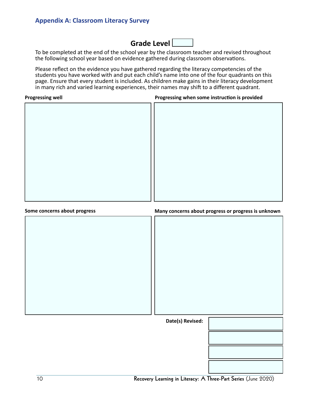## **Grade Level**

<span id="page-9-0"></span>To be completed at the end of the school year by the classroom teacher and revised throughout the following school year based on evidence gathered during classroom observations.

Please reflect on the evidence you have gathered regarding the literacy competencies of the students you have worked with and put each child's name into one of the four quadrants on this page. Ensure that every student is included. As children make gains in their literacy development in many rich and varied learning experiences, their names may shift to a different quadrant.

**Progressing well**

**Progressing when some instruction is provided**

**Some concerns about progress**

**Many concerns about progress or progress is unknown**

| Date(s) Revised: |  |
|------------------|--|
|                  |  |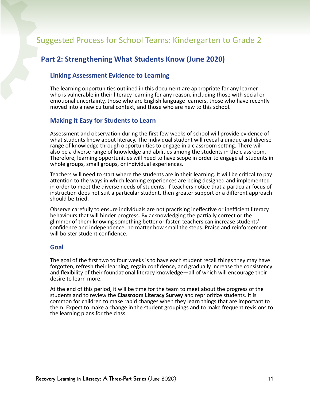## <span id="page-10-0"></span>Suggested Process for School Teams: Kindergarten to Grade 2

### **Part 2: Strengthening What Students Know (June 2020)**

#### **Linking Assessment Evidence to Learning**

The learning opportunities outlined in this document are appropriate for any learner who is vulnerable in their literacy learning for any reason, including those with social or emotional uncertainty, those who are English language learners, those who have recently moved into a new cultural context, and those who are new to this school.

#### **Making it Easy for Students to Learn**

Assessment and observation during the first few weeks of school will provide evidence of what students know about literacy. The individual student will reveal a unique and diverse range of knowledge through opportunities to engage in a classroom setting. There will also be a diverse range of knowledge and abilities among the students in the classroom. Therefore, learning opportunities will need to have scope in order to engage all students in whole groups, small groups, or individual experiences.

Teachers will need to start where the students are in their learning. It will be critical to pay attention to the ways in which learning experiences are being designed and implemented in order to meet the diverse needs of students. If teachers notice that a particular focus of instruction does not suit a particular student, then greater support or a different approach should be tried.

Observe carefully to ensure individuals are not practising ineffective or inefficient literacy behaviours that will hinder progress. By acknowledging the partially correct or the glimmer of them knowing something better or faster, teachers can increase students' confidence and independence, no matter how small the steps. Praise and reinforcement will bolster student confidence.

#### **Goal**

The goal of the first two to four weeks is to have each student recall things they may have forgotten, refresh their learning, regain confidence, and gradually increase the consistency and flexibility of their foundational literacy knowledge—all of which will encourage their desire to learn more.

At the end of this period, it will be time for the team to meet about the progress of the students and to review the **Classroom Literacy Survey** and reprioritize students. It is common for children to make rapid changes when they learn things that are important to them. Expect to make a change in the student groupings and to make frequent revisions to the learning plans for the class.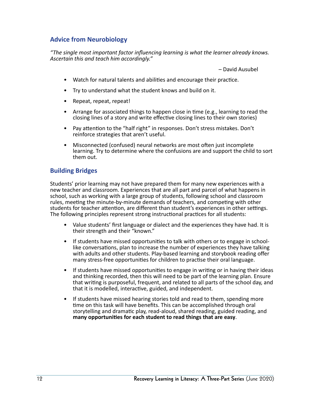#### **Advice from Neurobiology**

*"The single most important factor influencing learning is what the learner already knows. Ascertain this and teach him accordingly."* 

– David Ausubel

- Watch for natural talents and abilities and encourage their practice.
- Try to understand what the student knows and build on it.
- Repeat, repeat, repeat!
- Arrange for associated things to happen close in time (e.g., learning to read the closing lines of a story and write effective closing lines to their own stories)
- Pay attention to the "half right" in responses. Don't stress mistakes. Don't reinforce strategies that aren't useful.
- Misconnected (confused) neural networks are most often just incomplete learning. Try to determine where the confusions are and support the child to sort them out.

#### **Building Bridges**

Students' prior learning may not have prepared them for many new experiences with a new teacher and classroom. Experiences that are all part and parcel of what happens in school, such as working with a large group of students, following school and classroom rules, meeting the minute-by-minute demands of teachers, and competing with other students for teacher attention, are different than student's experiences in other settings. The following principles represent strong instructional practices for all students:

- Value students' first language or dialect and the experiences they have had. It is their strength and their "known."
- If students have missed opportunities to talk with others or to engage in schoollike conversations, plan to increase the number of experiences they have talking with adults and other students. Play-based learning and storybook reading offer many stress-free opportunities for children to practise their oral language.
- If students have missed opportunities to engage in writing or in having their ideas and thinking recorded, then this will need to be part of the learning plan. Ensure that writing is purposeful, frequent, and related to all parts of the school day, and that it is modelled, interactive, guided, and independent.
- If students have missed hearing stories told and read to them, spending more time on this task will have benefits. This can be accomplished through oral storytelling and dramatic play, read-aloud, shared reading, guided reading, and **many opportunities for each student to read things that are easy**.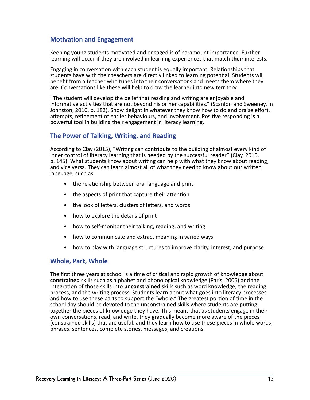#### **Motivation and Engagement**

Keeping young students motivated and engaged is of paramount importance. Further learning will occur if they are involved in learning experiences that match **their** interests.

Engaging in conversation with each student is equally important. Relationships that students have with their teachers are directly linked to learning potential. Students will benefit from a teacher who tunes into their conversations and meets them where they are. Conversations like these will help to draw the learner into new territory.

"The student will develop the belief that reading and writing are enjoyable and informative activities that are not beyond his or her capabilities." (Scanlon and Sweeney, in Johnston, 2010, p. 182). Show delight in whatever they know how to do and praise effort, attempts, refinement of earlier behaviours, and involvement. Positive responding is a powerful tool in building their engagement in literacy learning.

#### **The Power of Talking, Writing, and Reading**

According to Clay (2015), "Writing can contribute to the building of almost every kind of inner control of literacy learning that is needed by the successful reader" (Clay, 2015, p. 145). What students know about writing can help with what they know about reading, and vice versa. They can learn almost all of what they need to know about our written language, such as

- the relationship between oral language and print
- the aspects of print that capture their attention
- the look of letters, clusters of letters, and words
- how to explore the details of print
- how to self-monitor their talking, reading, and writing
- how to communicate and extract meaning in varied ways
- how to play with language structures to improve clarity, interest, and purpose

#### **Whole, Part, Whole**

The first three years at school is a time of critical and rapid growth of knowledge about **constrained** skills such as alphabet and phonological knowledge (Paris, 2005) and the integration of those skills into **unconstrained** skills such as word knowledge, the reading process, and the writing process. Students learn about what goes into literacy processes and how to use these parts to support the "whole." The greatest portion of time in the school day should be devoted to the unconstrained skills where students are putting together the pieces of knowledge they have. This means that as students engage in their own conversations, read, and write, they gradually become more aware of the pieces (constrained skills) that are useful, and they learn how to use these pieces in whole words, phrases, sentences, complete stories, messages, and creations.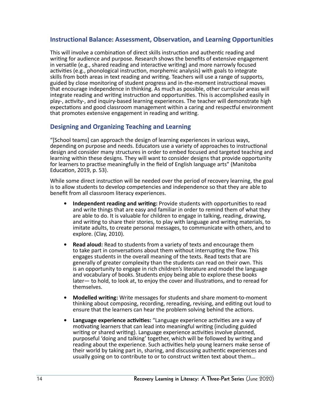#### **Instructional Balance: Assessment, Observation, and Learning Opportunities**

This will involve a combination of direct skills instruction and authentic reading and writing for audience and purpose. Research shows the benefits of extensive engagement in versatile (e.g., shared reading and interactive writing) and more narrowly focused activities (e.g., phonological instruction, morphemic analysis) with goals to integrate skills from both areas in text reading and writing. Teachers will use a range of supports, guided by close monitoring of student progress and in-the-moment instructional moves that encourage independence in thinking. As much as possible, other curricular areas will integrate reading and writing instruction and opportunities. This is accomplished easily in play-, activity-, and inquiry-based learning experiences. The teacher will demonstrate high expectations and good classroom management within a caring and respectful environment that promotes extensive engagement in reading and writing.

#### **Designing and Organizing Teaching and Learning**

"[School teams] can approach the design of learning experiences in various ways, depending on purpose and needs. Educators use a variety of approaches to instructional design and consider many structures in order to embed focused and targeted teaching and learning within these designs. They will want to consider designs that provide opportunity for learners to practise meaningfully in the field of English language arts" (Manitoba Education, 2019, p. 53).

While some direct instruction will be needed over the period of recovery learning, the goal is to allow students to develop competencies and independence so that they are able to benefit from all classroom literacy experiences.

- **• Independent reading and writing:** Provide students with opportunities to read and write things that are easy and familiar in order to remind them of what they are able to do. It is valuable for children to engage in talking, reading, drawing, and writing to share their stories, to play with language and writing materials, to imitate adults, to create personal messages, to communicate with others, and to explore. (Clay, 2010).
- **• Read aloud:** Read to students from a variety of texts and encourage them to take part in conversations about them without interrupting the flow. This engages students in the overall meaning of the texts. Read texts that are generally of greater complexity than the students can read on their own. This is an opportunity to engage in rich children's literature and model the language and vocabulary of books. Students enjoy being able to explore these books later— to hold, to look at, to enjoy the cover and illustrations, and to reread for themselves.
- **• Modelled writing:** Write messages for students and share moment-to-moment thinking about composing, recording, rereading, revising, and editing out loud to ensure that the learners can hear the problem solving behind the actions.
- **• Language experience activities:** "Language experience activities are a way of motivating learners that can lead into meaningful writing (including guided writing or shared writing). Language experience activities involve planned, purposeful 'doing and talking' together, which will be followed by writing and reading about the experience. Such activities help young learners make sense of their world by taking part in, sharing, and discussing authentic experiences and usually going on to contribute to or to construct written text about them…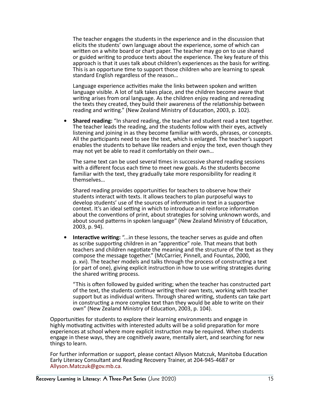The teacher engages the students in the experience and in the discussion that elicits the students' own language about the experience, some of which can written on a white board or chart paper. The teacher may go on to use shared or guided writing to produce texts about the experience. The key feature of this approach is that it uses talk about children's experiences as the basis for writing. This is an opportune time to support those children who are learning to speak standard English regardless of the reason…

Language experience activities make the links between spoken and written language visible. A lot of talk takes place, and the children become aware that writing arises from oral language. As the children enjoy reading and rereading the texts they created, they build their awareness of the relationship between reading and writing." (New Zealand Ministry of Education, 2003, p. 102).

**• Shared reading:** "In shared reading, the teacher and student read a text together. The teacher leads the reading, and the students follow with their eyes, actively listening and joining in as they become familiar with words, phrases, or concepts. All the participants need to see the text, which is enlarged. The teacher's support enables the students to behave like readers and enjoy the text, even though they may not yet be able to read it comfortably on their own…

The same text can be used several times in successive shared reading sessions with a different focus each time to meet new goals. As the students become familiar with the text, they gradually take more responsibility for reading it themselves…

Shared reading provides opportunities for teachers to observe how their students interact with texts. It allows teachers to plan purposeful ways to develop students' use of the sources of information in text in a supportive context. It's an ideal setting in which to introduce and reinforce information about the conventions of print, about strategies for solving unknown words, and about sound patterns in spoken language" (New Zealand Ministry of Education, 2003, p. 94).

**• Interactive writing:** "...in these lessons, the teacher serves as guide and often as scribe supporting children in an "apprentice" role. That means that both teachers and children negotiate the meaning and the structure of the text as they compose the message together." (McCarrier, Pinnell, and Fountas, 2000, p. xvi). The teacher models and talks through the process of constructing a text (or part of one), giving explicit instruction in how to use writing strategies during the shared writing process.

"This is often followed by guided writing; when the teacher has constructed part of the text, the students continue writing their own texts, working with teacher support but as individual writers. Through shared writing, students can take part in constructing a more complex text than they would be able to write on their own" (New Zealand Ministry of Education, 2003, p. 104).

Opportunities for students to explore their learning environments and engage in highly motivating activities with interested adults will be a solid preparation for more experiences at school where more explicit instruction may be required. When students engage in these ways, they are cognitively aware, mentally alert, and searching for new things to learn.

For further information or support, please contact Allyson Matczuk, Manitoba Education Early Literacy Consultant and Reading Recovery Trainer, at 204-945-4687 or [Allyson.Matczuk@gov.mb.ca](mailto:Allyson.Matczuk%40gov.mb.ca?subject=).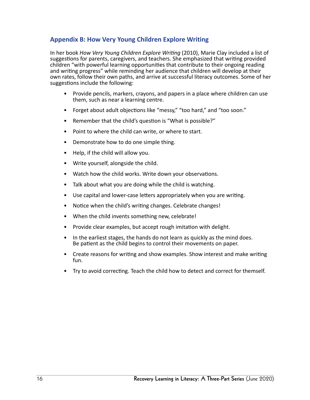#### <span id="page-15-0"></span>**Appendix B: How Very Young Children Explore Writing**

In her book *How Very Young Children Explore Writing* (2010), Marie Clay included a list of suggestions for parents, caregivers, and teachers. She emphasized that writing provided children "with powerful learning opportunities that contribute to their ongoing reading and writing progress" while reminding her audience that children will develop at their own rates, follow their own paths, and arrive at successful literacy outcomes. Some of her suggestions include the following:

- Provide pencils, markers, crayons, and papers in a place where children can use them, such as near a learning centre.
- Forget about adult objections like "messy," "too hard," and "too soon."
- Remember that the child's question is "What is possible?"
- Point to where the child can write, or where to start.
- Demonstrate how to do one simple thing.
- Help, if the child will allow you.
- Write yourself, alongside the child.
- Watch how the child works. Write down your observations.
- Talk about what you are doing while the child is watching.
- Use capital and lower-case letters appropriately when you are writing.
- Notice when the child's writing changes. Celebrate changes!
- When the child invents something new, celebrate!
- Provide clear examples, but accept rough imitation with delight.
- In the earliest stages, the hands do not learn as quickly as the mind does. Be patient as the child begins to control their movements on paper.
- Create reasons for writing and show examples. Show interest and make writing fun.
- Try to avoid correcting. Teach the child how to detect and correct for themself.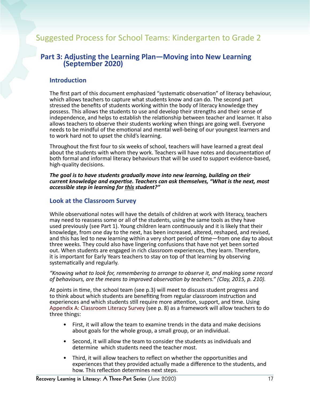## <span id="page-16-0"></span>Suggested Process for School Teams: Kindergarten to Grade 2

# **Part 3: Adjusting the Learning Plan—Moving into New Learning (September 2020)**

#### **Introduction**

The first part of this document emphasized "systematic observation" of literacy behaviour, which allows teachers to capture what students know and can do. The second part stressed the benefits of students working within the body of literacy knowledge they possess. This allows the students to use and develop their strengths and their sense of independence, and helps to establish the relationship between teacher and learner. It also allows teachers to observe their students working when things are going well. Everyone needs to be mindful of the emotional and mental well-being of our youngest learners and to work hard not to upset the child's learning.

Throughout the first four to six weeks of school, teachers will have learned a great deal about the students with whom they work. Teachers will have notes and documentation of both formal and informal literacy behaviours that will be used to support evidence-based, high-quality decisions.

*The goal is to have students gradually move into new learning, building on their current knowledge and expertise. Teachers can ask themselves, "What is the next, most accessible step in learning for this student?"*

#### **Look at the Classroom Survey**

While observational notes will have the details of children at work with literacy, teachers may need to reassess some or all of the students, using the same tools as they have used previously (see Part 1). Young children learn continuously and it is likely that their knowledge, from one day to the next, has been increased, altered, reshaped, and revised, and this has led to new learning within a very short period of time—from one day to about three weeks. They could also have lingering confusions that have not yet been sorted out. When students are engaged in rich classroom experiences, they learn. Therefore, it is important for Early Years teachers to stay on top of that learning by observing systematically and regularly.

#### *"Knowing what to look for, remembering to arrange to observe it, and making some record of behaviours, are the means to improved observation by teachers." (Clay, 2015, p. 210).*

At points in time, the school team (see p.3) will meet to discuss student progress and to think about which students are benefiting from regular classroom instruction and experiences and which students still require more attention, support, and time. Using [Appendix A: Classroom Literacy Survey](#page-9-0) (see p. 8) as a framework will allow teachers to do three things:

- First, it will allow the team to examine trends in the data and make decisions about goals for the whole group, a small group, or an individual.
- Second, it will allow the team to consider the students as individuals and determine which students need the teacher most.
- Third, it will allow teachers to reflect on whether the opportunities and experiences that they provided actually made a difference to the students, and how. This reflection determines next steps.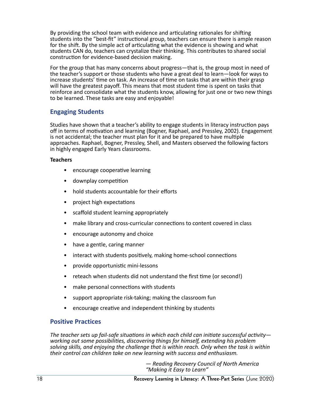By providing the school team with evidence and articulating rationales for shifting students into the "best-fit" instructional group, teachers can ensure there is ample reason for the shift. By the simple act of articulating what the evidence is showing and what students CAN do, teachers can crystalize their thinking. This contributes to shared social construction for evidence-based decision making.

For the group that has many concerns about progress—that is, the group most in need of the teacher's support or those students who have a great deal to learn—look for ways to increase students' time on task. An increase of time on tasks that are within their grasp will have the greatest payoff. This means that most student time is spent on tasks that reinforce and consolidate what the students know, allowing for just one or two new things to be learned. These tasks are easy and enjoyable!

#### **Engaging Students**

Studies have shown that a teacher's ability to engage students in literacy instruction pays off in terms of motivation and learning (Bogner, Raphael, and Pressley, 2002). Engagement is not accidental; the teacher must plan for it and be prepared to have multiple approaches. Raphael, Bogner, Pressley, Shell, and Masters observed the following factors in highly engaged Early Years classrooms.

#### **Teachers**

- encourage cooperative learning
- downplay competition
- hold students accountable for their efforts
- project high expectations
- scaffold student learning appropriately
- make library and cross-curricular connections to content covered in class
- encourage autonomy and choice
- have a gentle, caring manner
- interact with students positively, making home-school connections
- provide opportunistic mini-lessons
- reteach when students did not understand the first time (or second!)
- make personal connections with students
- support appropriate risk-taking; making the classroom fun
- encourage creative and independent thinking by students

#### **Positive Practices**

*The teacher sets up fail-safe situations in which each child can initiate successful activity working out some possibilities, discovering things for himself, extending his problem solving skills, and enjoying the challenge that is within reach. Only when the task is within their control can children take on new learning with success and enthusiasm.*

> *— Reading Recovery Council of North America "Making it Easy to Learn"*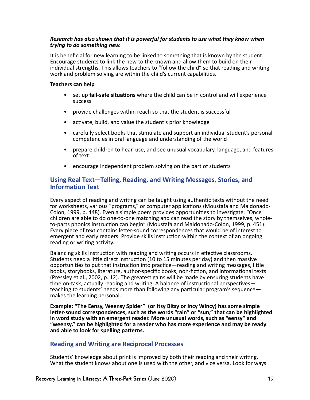#### *Research has also shown that it is powerful for students to use what they know when trying to do something new.*

It is beneficial for new learning to be linked to something that is known by the student. Encourage students to link the new to the known and allow them to build on their individual strengths. This allows teachers to "follow the child" so that reading and writing work and problem solving are within the child's current capabilities.

#### **Teachers can help**

- set up **fail-safe situations** where the child can be in control and will experience success
- provide challenges within reach so that the student is successful
- activate, build, and value the student's prior knowledge
- carefully select books that stimulate and support an individual student's personal competencies in oral language and understanding of the world
- prepare children to hear, use, and see unusual vocabulary, language, and features of text
- encourage independent problem solving on the part of students

#### **Using Real Text—Telling, Reading, and Writing Messages, Stories, and Information Text**

Every aspect of reading and writing can be taught using authentic texts without the need for worksheets, various "programs," or computer applications (Moustafa and Maldonado-Colon, 1999, p. 448). Even a simple poem provides opportunities to investigate. "Once children are able to do one-to-one matching and can read the story by themselves, wholeto-parts phonics instruction can begin" (Moustafa and Maldonado-Colon, 1999, p. 451). Every piece of text contains letter-sound correspondences that would be of interest to emergent and early readers. Provide skills instruction within the context of an ongoing reading or writing activity.

Balancing skills instruction with reading and writing occurs in effective classrooms. Students need a little direct instruction (10 to 15 minutes per day) and then massive opportunities to put that instruction into practice—reading and writing messages, little books, storybooks, literature, author-specific books, non-fiction, and informational texts (Pressley et al., 2002, p. 12). The greatest gains will be made by ensuring students have time on-task, actually reading and writing. A balance of instructional perspectives teaching to students' needs more than following any particular program's sequence makes the learning personal.

**Example: "The Eensy, Weensy Spider" (or Itsy Bitsy or Incy Wincy) has some simple letter-sound correspondences, such as the words "rain" or "sun," that can be highlighted in word study with an emergent reader. More unusual words, such as "eensy" and "weensy," can be highlighted for a reader who has more experience and may be ready and able to look for spelling patterns.**

#### **Reading and Writing are Reciprocal Processes**

Students' knowledge about print is improved by both their reading and their writing. What the student knows about one is used with the other, and vice versa. Look for ways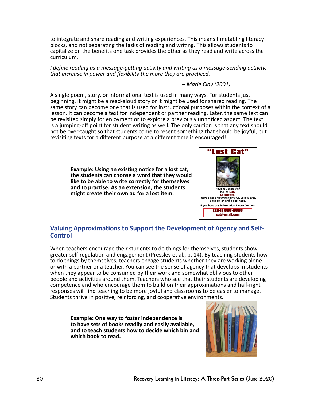to integrate and share reading and writing experiences. This means timetabling literacy blocks, and not separating the tasks of reading and writing. This allows students to capitalize on the benefits one task provides the other as they read and write across the curriculum.

*I define reading as a message-getting activity and writing as a message-sending activity, that increase in power and flexibility the more they are practiced.* 

#### *– Marie Clay (2001)*

A single poem, story, or informational text is used in many ways. For students just beginning, it might be a read-aloud story or it might be used for shared reading. The same story can become one that is used for instructional purposes within the context of a lesson. It can become a text for independent or partner reading. Later, the same text can be revisited simply for enjoyment or to explore a previously unnoticed aspect. The text is a jumping-off point for student writing as well. The only caution is that any text should not be over-taught so that students come to resent something that should be joyful, but revisiting texts for a different purpose at a different time is encouraged!

**Example: Using an existing notice for a lost cat, the students can choose a word that they would like to be able to write correctly for themselves and to practise. As an extension, the students might create their own ad for a lost item.** 



#### **Valuing Approximations to Support the Development of Agency and Self-Control**

When teachers encourage their students to do things for themselves, students show greater self-regulation and engagement (Pressley et al., p. 14). By teaching students how to do things by themselves, teachers engage students whether they are working alone or with a partner or a teacher. You can see the sense of agency that develops in students when they appear to be consumed by their work and somewhat oblivious to other people and activities around them. Teachers who see that their students are developing competence and who encourage them to build on their approximations and half-right responses will find teaching to be more joyful and classrooms to be easier to manage. Students thrive in positive, reinforcing, and cooperative environments.

**Example: One way to foster independence is to have sets of books readily and easily available, and to teach students how to decide which bin and which book to read.** 

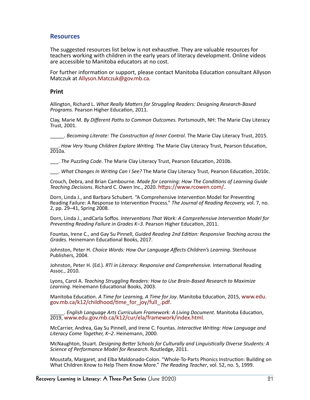#### <span id="page-20-0"></span>**Resources**

The suggested resources list below is not exhaustive. They are valuable resources for teachers working with children in the early years of literacy development. Online videos are accessible to Manitoba educators at no cost.

For further information or support, please contact Manitoba Education consultant Allyson Matczuk at [Allyson.Matczuk@gov.mb.ca](mailto:Allyson.Matczuk%40gov.mb.ca?subject=).

#### **Print**

Allington, Richard L. *What Really Matters for Struggling Readers: Designing Research-Based Programs.* Pearson Higher Education, 2011.

Clay, Marie M. *By Different Paths to Common Outcomes.* Portsmouth, NH: The Marie Clay Literacy Trust, 2001.

\_\_\_\_\_. *Becoming Literate: The Construction of Inner Control*. The Marie Clay Literacy Trust, 2015.

\_\_\_. *How Very Young Children Explore Writing.* The Marie Clay Literacy Trust, Pearson Education, 2010a.

\_\_\_. *The Puzzling Code.* The Marie Clay Literacy Trust, Pearson Education, 2010b.

\_\_\_. *What Changes In Writing Can I See?* The Marie Clay Literacy Trust, Pearson Education, 2010c.

Crouch, Debra, and Brian Cambourne. *Made for Learning: How The Conditions of Learning Guide Teaching Decisions*. Richard C. Owen Inc., 2020. <https://www.rcowen.com/>.

Dorn, Linda J., and Barbara Schubert. "A Comprehensive Intervention Model for Preventing Reading Failure: A Response to Intervention Process." *The Journal of Reading Recovery,* vol. 7, no. 2, pp. 29–41, Spring 2008.

Dorn, Linda J., andCarla Soffos. *Interventions That Work: A Comprehensive Intervention Model for Preventing Reading Failure in Grades K–3*. Pearson Higher Education, 2011.

Fountas, Irene C., and Gay Su Pinnell, *Guided Reading 2nd Edition: Responsive Teaching across the Grades.* Heinemann Educational Books, 2017.

Johnston, Peter H. *Choice Words: How Our Language Affects Children's Learning*. Stenhouse Publishers, 2004.

Johnston, Peter H. (Ed.). *RTI in Literacy: Responsive and Comprehensive.* International Reading Assoc., 2010.

Lyons, Carol A. *Teaching Struggling Readers: How to Use Brain-Based Research to Maximize Learning.* Heinemann Educational Books, 2003.

Manitoba Education. *A Time for Learning, A Time for Joy*. Manitoba Education, 2015, [www.edu.](http://www.edu.gov.mb.ca/k12/childhood/time_for_joy/full_.pdf) [gov.mb.ca/k12/childhood/time\\_for\\_joy/full\\_.pdf.](http://www.edu.gov.mb.ca/k12/childhood/time_for_joy/full_.pdf)

\_\_\_\_\_. *English Language Arts Curriculum Framework: A Living Document*. Manitoba Education, 2019, [www.edu.gov.mb.ca/k12/cur/ela/framework/index.html.](http://www.edu.gov.mb.ca/k12/cur/ela/framework/index.html)

McCarrier, Andrea, Gay Su Pinnell, and Irene C. Fountas. *Interactive Writing: How Language and Literacy Come Together, K–2*. Heinemann, 2000.

McNaughton, Stuart. *Designing Better Schools for Culturally and Linguistically Diverse Students: A Science of Performance Model for Research*. Routledge, 2011.

Moustafa, Margaret, and Elba Maldonado-Colon. "Whole-To-Parts Phonics Instruction: Building on What Children Know to Help Them Know More." *The Reading Teacher*, vol. 52, no. 5, 1999.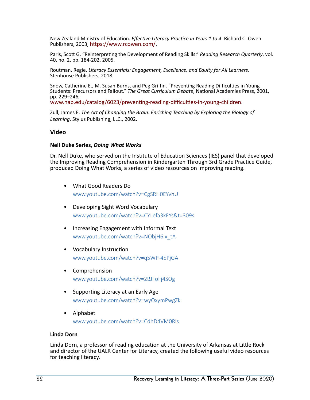New Zealand Ministry of Education. *Effective Literacy Practice in Years 1 to 4*. Richard C. Owen Publishers, 2003, <https://www.rcowen.com/>.

Paris, Scott G. "Reinterpreting the Development of Reading Skills." *Reading Research Quarterly*, vol. 40, no. 2, pp. 184-202, 2005.

Routman, Regie. *Literacy Essentials: Engagement, Excellence, and Equity for All Learners*. Stenhouse Publishers, 2018.

Snow, Catherine E., M. Susan Burns, and Peg Griffin. "Preventing Reading Difficulties in Young Students: Precursors and Fallout." *The Great Curriculum Debate*, National Academies Press, 2001, pp. 229–246,

[www.nap.edu/catalog/6023/preventing-reading-difficulties-in-young-children](http://www.nap.edu/catalog/6023/preventing-reading-difficulties-in-young-children).

Zull, James E. *The Art of Changing the Brain: Enriching Teaching by Exploring the Biology of Learning*. Stylus Publishing, LLC., 2002.

#### **Video**

#### **Nell Duke Series,** *Doing What Works*

Dr. Nell Duke, who served on the Institute of Education Sciences (IES) panel that developed the Improving Reading Comprehension in Kindergarten Through 3rd Grade Practice Guide, produced Doing What Works, a series of video resources on improving reading.

- What Good Readers Do www.youtube.com/watch?v=CgSRH0EYvhU
- Developing Sight Word Vocabulary www.youtube.com/watch?v=CYLefa3kFYs&t=309s
- Increasing Engagement with Informal Text www.youtube.com/watch?v=NObjH6Ix\_tA
- Vocabulary Instruction www.youtube.com/watch?v=q5WP-45PjGA
- Comprehension www.youtube.com/watch?v=2BJFoFj4SOg
- Supporting Literacy at an Early Age www.youtube.com/watch?v=wyOxymPwgZk
- Alphabet

www.youtube.com/watch?v=CdhD4VM0Rls

#### **Linda Dorn**

Linda Dorn, a professor of reading education at the University of Arkansas at Little Rock and director of the UALR Center for Literacy, created the following useful video resources for teaching literacy.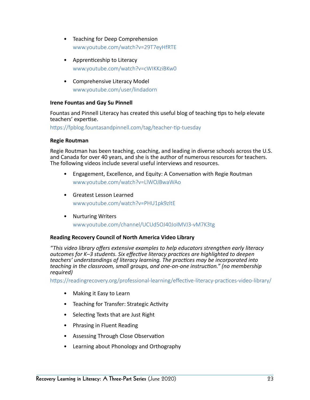- Teaching for Deep Comprehension www.youtube.com/watch?v=29T7eyHfRTE
- Apprenticeship to Literacy www.youtube.com/watch?v=cWIKKziBKw0
- Comprehensive Literacy Model www.youtube.com/user/lindadorn

#### **Irene Fountas and Gay Su Pinnell**

Fountas and Pinnell Literacy has created this useful blog of teaching tips to help elevate teachers' expertise.

https://fpblog.fountasandpinnell.com/tag/teacher-tip-tuesday

#### **Regie Routman**

Regie Routman has been teaching, coaching, and leading in diverse schools across the U.S. and Canada for over 40 years, and she is the author of numerous resources for teachers. The following videos include several useful interviews and resources.

- Engagement, Excellence, and Equity: A Conversation with Regie Routman www.youtube.com/watch?v=LlWOJBwaWAo
- Greatest Lesson Learned www.youtube.com/watch?v=PHU1pk9zltE
- Nurturing Writers

www.youtube.com/channel/UCUd5OJ40JoIMVJ3-vM7K3tg

#### **Reading Recovery Council of North America Video Library**

*"This video library offers extensive examples to help educators strengthen early literacy outcomes for K–3 students. Six effective literacy practices are highlighted to deepen teachers' understandings of literacy learning. The practices may be incorporated into teaching in the classroom, small groups, and one-on-one instruction." (no membership required)*

https://readingrecovery.org/professional-learning/effective-literacy-practices-video-library/

- Making it Easy to Learn
- Teaching for Transfer: Strategic Activity
- Selecting Texts that are Just Right
- Phrasing in Fluent Reading
- Assessing Through Close Observation
- Learning about Phonology and Orthography